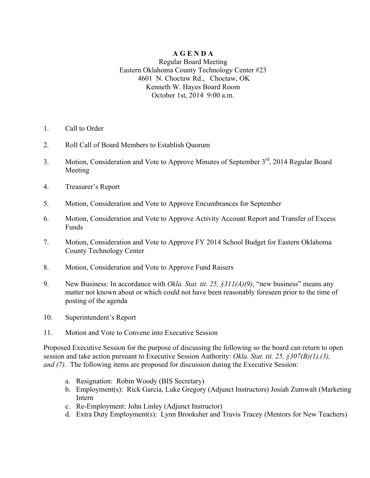## **A G E N D A**

## Regular Board Meeting Eastern Oklahoma County Technology Center #23 4601 N. Choctaw Rd., Choctaw, OK Kenneth W. Hayes Board Room October 1st, 2014 9:00 a.m.

- 1. Call to Order
- 2. Roll Call of Board Members to Establish Quorum
- 3. Motion, Consideration and Vote to Approve Minutes of September 3<sup>rd</sup>, 2014 Regular Board Meeting
- 4. Treasurer's Report
- 5. Motion, Consideration and Vote to Approve Encumbrances for September
- 6. Motion, Consideration and Vote to Approve Activity Account Report and Transfer of Excess **Funds**
- 7. Motion, Consideration and Vote to Approve FY 2014 School Budget for Eastern Oklahoma County Technology Center
- 8. Motion, Consideration and Vote to Approve Fund Raisers
- 9. New Business: In accordance with *Okla. Stat. tit. 25, §311(A)(9)*, "new business" means any matter not known about or which could not have been reasonably foreseen prior to the time of posting of the agenda
- 10. Superintendent's Report
- 11. Motion and Vote to Convene into Executive Session

Proposed Executive Session for the purpose of discussing the following so the board can return to open session and take action pursuant to Executive Session Authority: *Okla. Stat. tit. 25, §307(B)(1),(3), and (7)*. The following items are proposed for discussion during the Executive Session:

- a. Resignation: Robin Woody (BIS Secretary)
- b. Employment(s): Rick Garcia, Luke Gregory (Adjunct Instructors) Josiah Zumwalt (Marketing Intern
- c. Re-Employment: John Linley (Adjunct Instructor)
- d. Extra Duty Employment(s): Lynn Brooksher and Travis Tracey (Mentors for New Teachers)